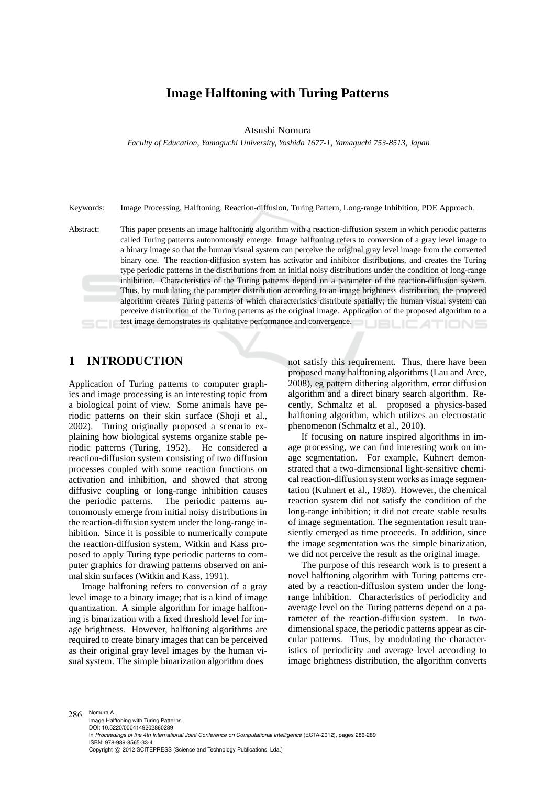# **Image Halftoning with Turing Patterns**

Atsushi Nomura

*Faculty of Education, Yamaguchi University, Yoshida 1677-1, Yamaguchi 753-8513, Japan*

Keywords: Image Processing, Halftoning, Reaction-diffusion, Turing Pattern, Long-range Inhibition, PDE Approach.

Abstract: This paper presents an image halftoning algorithm with a reaction-diffusion system in which periodic patterns called Turing patterns autonomously emerge. Image halftoning refers to conversion of a gray level image to a binary image so that the human visual system can perceive the original gray level image from the converted binary one. The reaction-diffusion system has activator and inhibitor distributions, and creates the Turing type periodic patterns in the distributions from an initial noisy distributions under the condition of long-range inhibition. Characteristics of the Turing patterns depend on a parameter of the reaction-diffusion system. Thus, by modulating the parameter distribution according to an image brightness distribution, the proposed algorithm creates Turing patterns of which characteristics distribute spatially; the human visual system can perceive distribution of the Turing patterns as the original image. Application of the proposed algorithm to a test image demonstrates its qualitative performance and convergence. **JBLIC ATIONS** 

## **1 INTRODUCTION**

Application of Turing patterns to computer graphics and image processing is an interesting topic from a biological point of view. Some animals have periodic patterns on their skin surface (Shoji et al., 2002). Turing originally proposed a scenario explaining how biological systems organize stable periodic patterns (Turing, 1952). He considered a reaction-diffusion system consisting of two diffusion processes coupled with some reaction functions on activation and inhibition, and showed that strong diffusive coupling or long-range inhibition causes the periodic patterns. The periodic patterns autonomously emerge from initial noisy distributions in the reaction-diffusion system under the long-range inhibition. Since it is possible to numerically compute the reaction-diffusion system, Witkin and Kass proposed to apply Turing type periodic patterns to computer graphics for drawing patterns observed on animal skin surfaces (Witkin and Kass, 1991).

Image halftoning refers to conversion of a gray level image to a binary image; that is a kind of image quantization. A simple algorithm for image halftoning is binarization with a fixed threshold level for image brightness. However, halftoning algorithms are required to create binary images that can be perceived as their original gray level images by the human visual system. The simple binarization algorithm does

not satisfy this requirement. Thus, there have been proposed many halftoning algorithms (Lau and Arce, 2008), eg pattern dithering algorithm, error diffusion algorithm and a direct binary search algorithm. Recently, Schmaltz et al. proposed a physics-based halftoning algorithm, which utilizes an electrostatic phenomenon (Schmaltz et al., 2010).

If focusing on nature inspired algorithms in image processing, we can find interesting work on image segmentation. For example, Kuhnert demonstrated that a two-dimensional light-sensitive chemical reaction-diffusion system works as image segmentation (Kuhnert et al., 1989). However, the chemical reaction system did not satisfy the condition of the long-range inhibition; it did not create stable results of image segmentation. The segmentation result transiently emerged as time proceeds. In addition, since the image segmentation was the simple binarization, we did not perceive the result as the original image.

The purpose of this research work is to present a novel halftoning algorithm with Turing patterns created by a reaction-diffusion system under the longrange inhibition. Characteristics of periodicity and average level on the Turing patterns depend on a parameter of the reaction-diffusion system. In twodimensional space, the periodic patterns appear as circular patterns. Thus, by modulating the characteristics of periodicity and average level according to image brightness distribution, the algorithm converts

286 Nomura A.. Image Halftoning with Turing Patterns. DOI: 10.5220/0004149202860289 In *Proceedings of the 4th International Joint Conference on Computational Intelligence* (ECTA-2012), pages 286-289 ISBN: 978-989-8565-33-4 Copyright © 2012 SCITEPRESS (Science and Technology Publications, Lda.)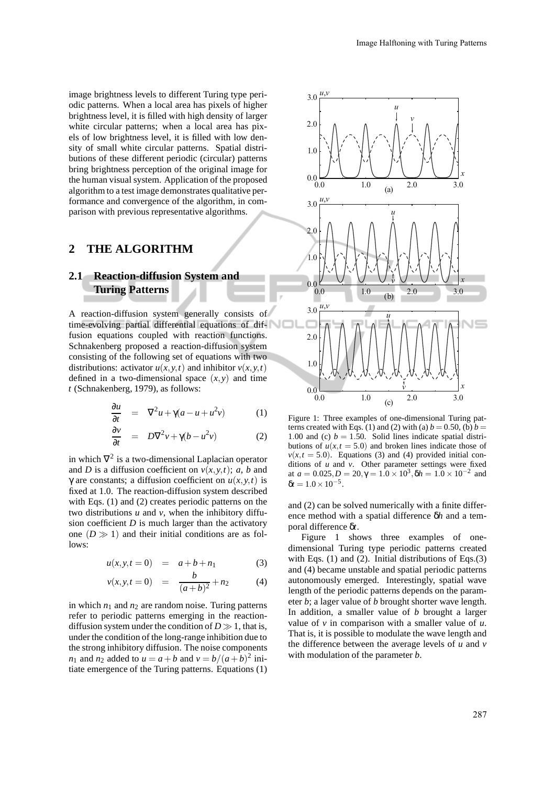image brightness levels to different Turing type periodic patterns. When a local area has pixels of higher brightness level, it is filled with high density of larger white circular patterns; when a local area has pixels of low brightness level, it is filled with low density of small white circular patterns. Spatial distributions of these different periodic (circular) patterns bring brightness perception of the original image for the human visual system. Application of the proposed algorithm to a test image demonstrates qualitative performance and convergence of the algorithm, in comparison with previous representative algorithms.

### **2 THE ALGORITHM**

## **2.1 Reaction-diffusion System and Turing Patterns**

A reaction-diffusion system generally consists of time-evolving partial differential equations of diffusion equations coupled with reaction functions. Schnakenberg proposed a reaction-diffusion system consisting of the following set of equations with two distributions: activator  $u(x, y, t)$  and inhibitor  $v(x, y, t)$ defined in a two-dimensional space  $(x, y)$  and time *t* (Schnakenberg, 1979), as follows:

$$
\frac{\partial u}{\partial t} = \nabla^2 u + \gamma (a - u + u^2 v) \tag{1}
$$

$$
\frac{\partial v}{\partial t} = D\nabla^2 v + \gamma (b - u^2 v) \tag{2}
$$

in which  $\nabla^2$  is a two-dimensional Laplacian operator and *D* is a diffusion coefficient on  $v(x, y, t)$ ; *a*, *b* and γ are constants; a diffusion coefficient on *u*(*x*,*y*,*t*) is fixed at 1.0. The reaction-diffusion system described with Eqs. (1) and (2) creates periodic patterns on the two distributions *u* and *v*, when the inhibitory diffusion coefficient *D* is much larger than the activatory one  $(D \gg 1)$  and their initial conditions are as follows:

$$
u(x, y, t = 0) = a + b + n_1 \tag{3}
$$

$$
v(x, y, t = 0) = \frac{b}{(a+b)^2} + n_2 \tag{4}
$$

in which  $n_1$  and  $n_2$  are random noise. Turing patterns refer to periodic patterns emerging in the reactiondiffusion system under the condition of  $D \gg 1$ , that is, under the condition of the long-range inhibition due to the strong inhibitory diffusion. The noise components *n*<sub>1</sub> and *n*<sub>2</sub> added to  $u = a + b$  and  $v = b/(a+b)^2$  initiate emergence of the Turing patterns. Equations (1)



Figure 1: Three examples of one-dimensional Turing patterns created with Eqs. (1) and (2) with (a)  $b = 0.50$ , (b)  $b =$ 1.00 and (c)  $b = 1.50$ . Solid lines indicate spatial distributions of  $u(x, t = 5.0)$  and broken lines indicate those of  $v(x,t = 5.0)$ . Equations (3) and (4) provided initial conditions of *u* and *v*. Other parameter settings were fixed at  $a = 0.025, D = 20, \gamma = 1.0 \times 10^3, \delta h = 1.0 \times 10^{-2}$  and  $\delta t = 1.0 \times 10^{-5}$ .

and (2) can be solved numerically with a finite difference method with a spatial difference δ*h* and a temporal difference δ*t*.

Figure 1 shows three examples of onedimensional Turing type periodic patterns created with Eqs. (1) and (2). Initial distributions of Eqs. (3) and (4) became unstable and spatial periodic patterns autonomously emerged. Interestingly, spatial wave length of the periodic patterns depends on the parameter *b*; a lager value of *b* brought shorter wave length. In addition, a smaller value of *b* brought a larger value of *v* in comparison with a smaller value of *u*. That is, it is possible to modulate the wave length and the difference between the average levels of *u* and *v* with modulation of the parameter *b*.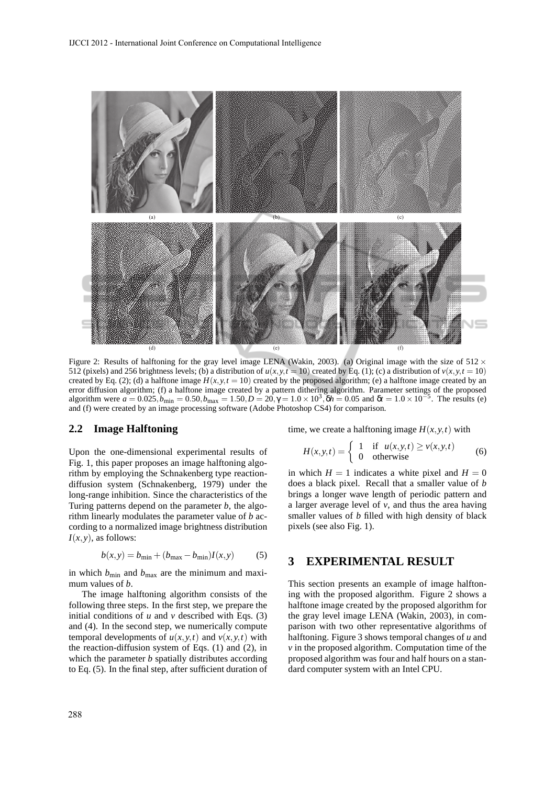

Figure 2: Results of halftoning for the gray level image LENA (Wakin, 2003). (a) Original image with the size of  $512 \times$ 512 (pixels) and 256 brightness levels; (b) a distribution of  $u(x, y, t = 10)$  created by Eq. (1); (c) a distribution of  $v(x, y, t = 10)$ created by Eq. (2); (d) a halftone image  $H(x, y, t = 10)$  created by the proposed algorithm; (e) a halftone image created by an error diffusion algorithm; (f) a halftone image created by a pattern dithering algorithm. Parameter settings of the proposed algorithm were  $a = 0.025$ ,  $b_{\text{min}} = 0.50$ ,  $b_{\text{max}} = 1.50$ ,  $D = 20$ ,  $\gamma = 1.0 \times 10^3$ ,  $\delta h = 0.05$  and  $\delta t = 1.0 \times 10^{-5}$ . The results (e) and (f) were created by an image processing software (Adobe Photoshop CS4) for comparison.

#### **2.2 Image Halftoning**

Upon the one-dimensional experimental results of Fig. 1, this paper proposes an image halftoning algorithm by employing the Schnakenberg type reactiondiffusion system (Schnakenberg, 1979) under the long-range inhibition. Since the characteristics of the Turing patterns depend on the parameter *b*, the algorithm linearly modulates the parameter value of *b* according to a normalized image brightness distribution  $I(x, y)$ , as follows:

$$
b(x, y) = b_{\min} + (b_{\max} - b_{\min})I(x, y)
$$
 (5)

in which  $b_{\text{min}}$  and  $b_{\text{max}}$  are the minimum and maximum values of *b*.

The image halftoning algorithm consists of the following three steps. In the first step, we prepare the initial conditions of  $u$  and  $v$  described with Eqs. (3) and (4). In the second step, we numerically compute temporal developments of  $u(x, y, t)$  and  $v(x, y, t)$  with the reaction-diffusion system of Eqs. (1) and (2), in which the parameter *b* spatially distributes according to Eq. (5). In the final step, after sufficient duration of time, we create a halftoning image  $H(x, y, t)$  with

$$
H(x, y, t) = \begin{cases} 1 & \text{if } u(x, y, t) \ge v(x, y, t) \\ 0 & \text{otherwise} \end{cases}
$$
 (6)

in which  $H = 1$  indicates a white pixel and  $H = 0$ does a black pixel. Recall that a smaller value of *b* brings a longer wave length of periodic pattern and a larger average level of *v*, and thus the area having smaller values of *b* filled with high density of black pixels (see also Fig. 1).

### **3 EXPERIMENTAL RESULT**

This section presents an example of image halftoning with the proposed algorithm. Figure 2 shows a halftone image created by the proposed algorithm for the gray level image LENA (Wakin, 2003), in comparison with two other representative algorithms of halftoning. Figure 3 shows temporal changes of *u* and *v* in the proposed algorithm. Computation time of the proposed algorithm was four and half hours on a standard computer system with an Intel CPU.